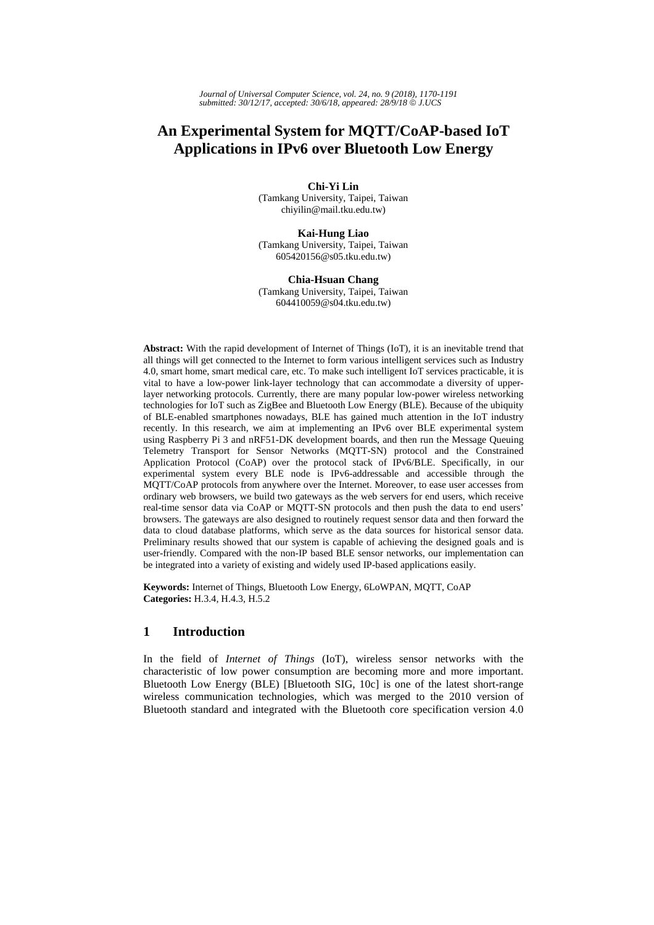*Journal of Universal Computer Science, vol. 24, no. 9 (2018), 1170-1191 submitted: 30/12/17, accepted: 30/6/18, appeared: 28/9/18* © *J.UCS*

# **An Experimental System for MQTT/CoAP-based IoT Applications in IPv6 over Bluetooth Low Energy**

**Chi-Yi Lin**  (Tamkang University, Taipei, Taiwan chiyilin@mail.tku.edu.tw)

**Kai-Hung Liao** (Tamkang University, Taipei, Taiwan 605420156@s05.tku.edu.tw)

**Chia-Hsuan Chang** (Tamkang University, Taipei, Taiwan 604410059@s04.tku.edu.tw)

**Abstract:** With the rapid development of Internet of Things (IoT), it is an inevitable trend that all things will get connected to the Internet to form various intelligent services such as Industry 4.0, smart home, smart medical care, etc. To make such intelligent IoT services practicable, it is vital to have a low-power link-layer technology that can accommodate a diversity of upperlayer networking protocols. Currently, there are many popular low-power wireless networking technologies for IoT such as ZigBee and Bluetooth Low Energy (BLE). Because of the ubiquity of BLE-enabled smartphones nowadays, BLE has gained much attention in the IoT industry recently. In this research, we aim at implementing an IPv6 over BLE experimental system using Raspberry Pi 3 and nRF51-DK development boards, and then run the Message Queuing Telemetry Transport for Sensor Networks (MQTT-SN) protocol and the Constrained Application Protocol (CoAP) over the protocol stack of IPv6/BLE. Specifically, in our experimental system every BLE node is IPv6-addressable and accessible through the MQTT/CoAP protocols from anywhere over the Internet. Moreover, to ease user accesses from ordinary web browsers, we build two gateways as the web servers for end users, which receive real-time sensor data via CoAP or MQTT-SN protocols and then push the data to end users' browsers. The gateways are also designed to routinely request sensor data and then forward the data to cloud database platforms, which serve as the data sources for historical sensor data. Preliminary results showed that our system is capable of achieving the designed goals and is user-friendly. Compared with the non-IP based BLE sensor networks, our implementation can be integrated into a variety of existing and widely used IP-based applications easily.

**Keywords:** Internet of Things, Bluetooth Low Energy, 6LoWPAN, MQTT, CoAP **Categories:** H.3.4, H.4.3, H.5.2

# **1 Introduction**

In the field of *Internet of Things* (IoT), wireless sensor networks with the characteristic of low power consumption are becoming more and more important. Bluetooth Low Energy (BLE) [Bluetooth SIG, 10c] is one of the latest short-range wireless communication technologies, which was merged to the 2010 version of Bluetooth standard and integrated with the Bluetooth core specification version 4.0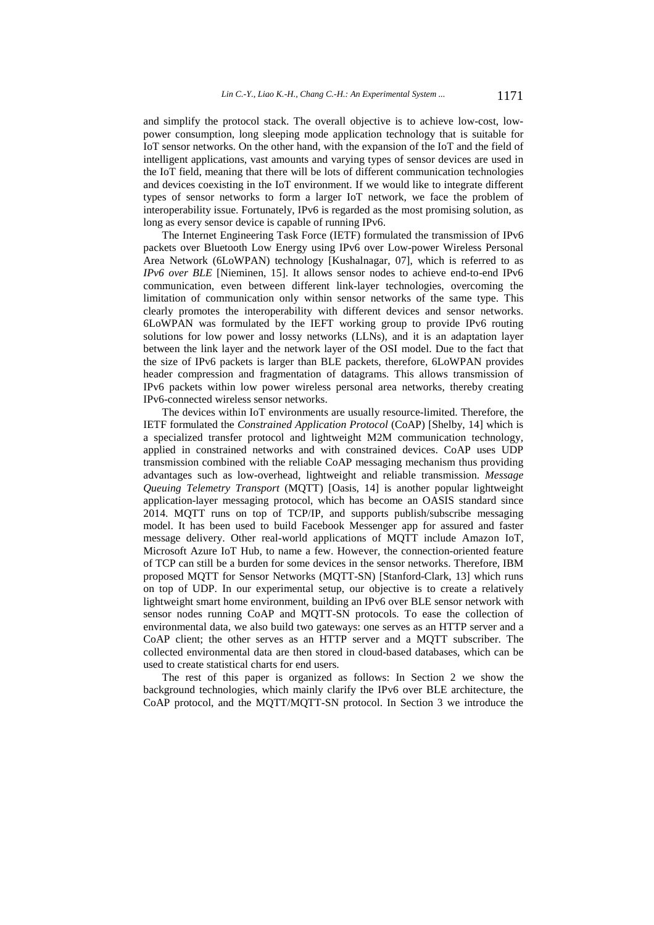and simplify the protocol stack. The overall objective is to achieve low-cost, lowpower consumption, long sleeping mode application technology that is suitable for IoT sensor networks. On the other hand, with the expansion of the IoT and the field of intelligent applications, vast amounts and varying types of sensor devices are used in the IoT field, meaning that there will be lots of different communication technologies and devices coexisting in the IoT environment. If we would like to integrate different types of sensor networks to form a larger IoT network, we face the problem of interoperability issue. Fortunately, IPv6 is regarded as the most promising solution, as long as every sensor device is capable of running IPv6.

The Internet Engineering Task Force (IETF) formulated the transmission of IPv6 packets over Bluetooth Low Energy using IPv6 over Low-power Wireless Personal Area Network (6LoWPAN) technology [Kushalnagar, 07], which is referred to as *IPv6 over BLE* [Nieminen, 15]. It allows sensor nodes to achieve end-to-end IPv6 communication, even between different link-layer technologies, overcoming the limitation of communication only within sensor networks of the same type. This clearly promotes the interoperability with different devices and sensor networks. 6LoWPAN was formulated by the IEFT working group to provide IPv6 routing solutions for low power and lossy networks (LLNs), and it is an adaptation layer between the link layer and the network layer of the OSI model. Due to the fact that the size of IPv6 packets is larger than BLE packets, therefore, 6LoWPAN provides header compression and fragmentation of datagrams. This allows transmission of IPv6 packets within low power wireless personal area networks, thereby creating IPv6-connected wireless sensor networks.

The devices within IoT environments are usually resource-limited. Therefore, the IETF formulated the *Constrained Application Protocol* (CoAP) [Shelby, 14] which is a specialized transfer protocol and lightweight M2M communication technology, applied in constrained networks and with constrained devices. CoAP uses UDP transmission combined with the reliable CoAP messaging mechanism thus providing advantages such as low-overhead, lightweight and reliable transmission. *Message Queuing Telemetry Transport* (MQTT) [Oasis, 14] is another popular lightweight application-layer messaging protocol, which has become an OASIS standard since 2014. MQTT runs on top of TCP/IP, and supports publish/subscribe messaging model. It has been used to build Facebook Messenger app for assured and faster message delivery. Other real-world applications of MQTT include Amazon IoT, Microsoft Azure IoT Hub, to name a few. However, the connection-oriented feature of TCP can still be a burden for some devices in the sensor networks. Therefore, IBM proposed MQTT for Sensor Networks (MQTT-SN) [Stanford-Clark, 13] which runs on top of UDP. In our experimental setup, our objective is to create a relatively lightweight smart home environment, building an IPv6 over BLE sensor network with sensor nodes running CoAP and MQTT-SN protocols. To ease the collection of environmental data, we also build two gateways: one serves as an HTTP server and a CoAP client; the other serves as an HTTP server and a MQTT subscriber. The collected environmental data are then stored in cloud-based databases, which can be used to create statistical charts for end users.

The rest of this paper is organized as follows: In Section 2 we show the background technologies, which mainly clarify the IPv6 over BLE architecture, the CoAP protocol, and the MQTT/MQTT-SN protocol. In Section 3 we introduce the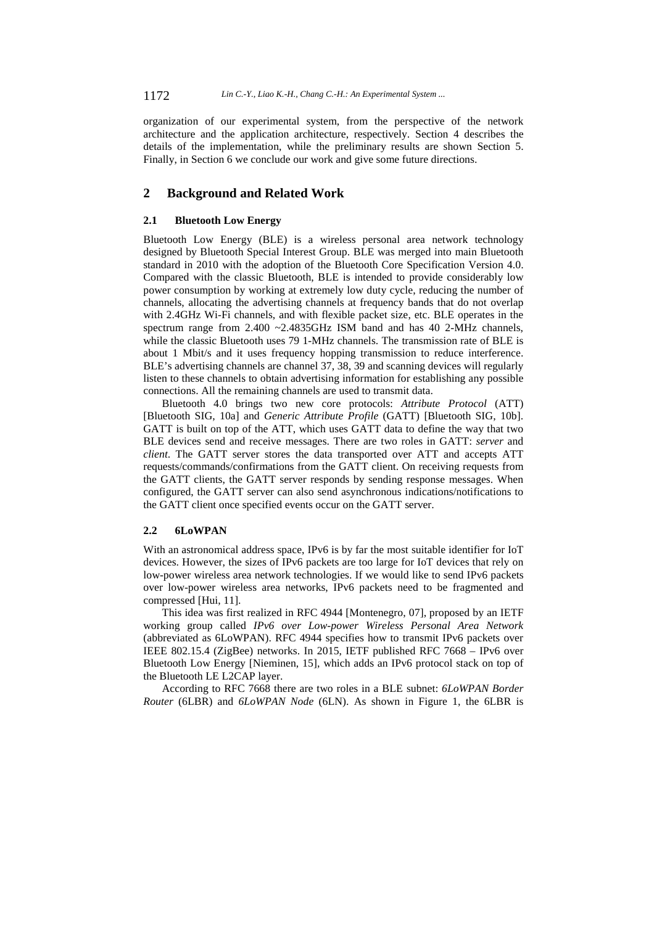organization of our experimental system, from the perspective of the network architecture and the application architecture, respectively. Section 4 describes the details of the implementation, while the preliminary results are shown Section 5. Finally, in Section 6 we conclude our work and give some future directions.

# **2 Background and Related Work**

#### **2.1 Bluetooth Low Energy**

Bluetooth Low Energy (BLE) is a wireless personal area network technology designed by Bluetooth Special Interest Group. BLE was merged into main Bluetooth standard in 2010 with the adoption of the Bluetooth Core Specification Version 4.0. Compared with the classic Bluetooth, BLE is intended to provide considerably low power consumption by working at extremely low duty cycle, reducing the number of channels, allocating the advertising channels at frequency bands that do not overlap with 2.4GHz Wi-Fi channels, and with flexible packet size, etc. BLE operates in the spectrum range from 2.400 ~2.4835GHz ISM band and has 40 2-MHz channels, while the classic Bluetooth uses 79 1-MHz channels. The transmission rate of BLE is about 1 Mbit/s and it uses frequency hopping transmission to reduce interference. BLE's advertising channels are channel 37, 38, 39 and scanning devices will regularly listen to these channels to obtain advertising information for establishing any possible connections. All the remaining channels are used to transmit data.

Bluetooth 4.0 brings two new core protocols: *Attribute Protocol* (ATT) [Bluetooth SIG, 10a] and *Generic Attribute Profile* (GATT) [Bluetooth SIG, 10b]. GATT is built on top of the ATT, which uses GATT data to define the way that two BLE devices send and receive messages. There are two roles in GATT: *server* and *client*. The GATT server stores the data transported over ATT and accepts ATT requests/commands/confirmations from the GATT client. On receiving requests from the GATT clients, the GATT server responds by sending response messages. When configured, the GATT server can also send asynchronous indications/notifications to the GATT client once specified events occur on the GATT server.

#### **2.2 6LoWPAN**

With an astronomical address space, IPv6 is by far the most suitable identifier for IoT devices. However, the sizes of IPv6 packets are too large for IoT devices that rely on low-power wireless area network technologies. If we would like to send IPv6 packets over low-power wireless area networks, IPv6 packets need to be fragmented and compressed [Hui, 11].

This idea was first realized in RFC 4944 [Montenegro, 07], proposed by an IETF working group called *IPv6 over Low-power Wireless Personal Area Network* (abbreviated as 6LoWPAN). RFC 4944 specifies how to transmit IPv6 packets over IEEE 802.15.4 (ZigBee) networks. In 2015, IETF published RFC 7668 – IPv6 over Bluetooth Low Energy [Nieminen, 15], which adds an IPv6 protocol stack on top of the Bluetooth LE L2CAP layer.

According to RFC 7668 there are two roles in a BLE subnet: *6LoWPAN Border Router* (6LBR) and *6LoWPAN Node* (6LN). As shown in Figure 1, the 6LBR is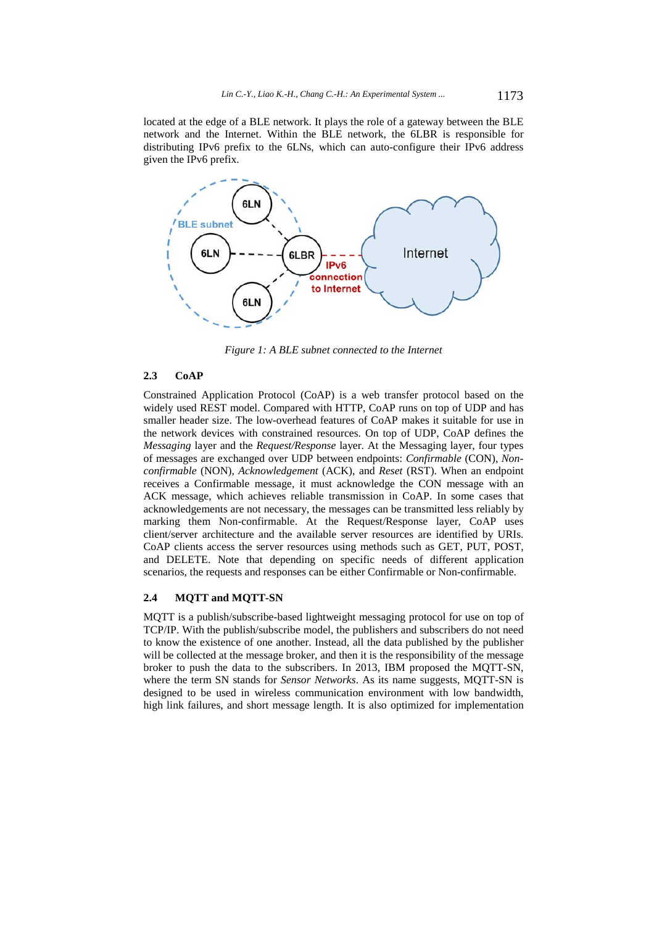located at the edge of a BLE network. It plays the role of a gateway between the BLE network and the Internet. Within the BLE network, the 6LBR is responsible for distributing IPv6 prefix to the 6LNs, which can auto-configure their IPv6 address given the IPv6 prefix.



*Figure 1: A BLE subnet connected to the Internet* 

#### **2.3 CoAP**

Constrained Application Protocol (CoAP) is a web transfer protocol based on the widely used REST model. Compared with HTTP, CoAP runs on top of UDP and has smaller header size. The low-overhead features of CoAP makes it suitable for use in the network devices with constrained resources. On top of UDP, CoAP defines the *Messaging* layer and the *Request/Response* layer. At the Messaging layer, four types of messages are exchanged over UDP between endpoints: *Confirmable* (CON), *Nonconfirmable* (NON), *Acknowledgement* (ACK), and *Reset* (RST). When an endpoint receives a Confirmable message, it must acknowledge the CON message with an ACK message, which achieves reliable transmission in CoAP. In some cases that acknowledgements are not necessary, the messages can be transmitted less reliably by marking them Non-confirmable. At the Request/Response layer, CoAP uses client/server architecture and the available server resources are identified by URIs. CoAP clients access the server resources using methods such as GET, PUT, POST, and DELETE. Note that depending on specific needs of different application scenarios, the requests and responses can be either Confirmable or Non-confirmable.

### **2.4 MQTT and MQTT-SN**

MQTT is a publish/subscribe-based lightweight messaging protocol for use on top of TCP/IP. With the publish/subscribe model, the publishers and subscribers do not need to know the existence of one another. Instead, all the data published by the publisher will be collected at the message broker, and then it is the responsibility of the message broker to push the data to the subscribers. In 2013, IBM proposed the MQTT-SN, where the term SN stands for *Sensor Networks*. As its name suggests, MQTT-SN is designed to be used in wireless communication environment with low bandwidth, high link failures, and short message length. It is also optimized for implementation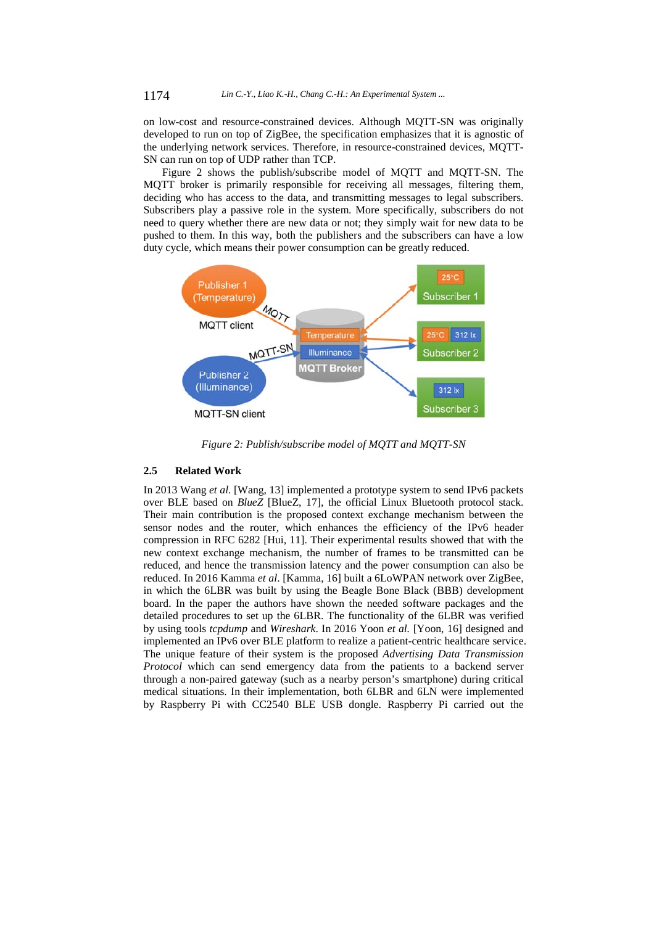on low-cost and resource-constrained devices. Although MQTT-SN was originally developed to run on top of ZigBee, the specification emphasizes that it is agnostic of the underlying network services. Therefore, in resource-constrained devices, MQTT-SN can run on top of UDP rather than TCP.

Figure 2 shows the publish/subscribe model of MQTT and MQTT-SN. The MQTT broker is primarily responsible for receiving all messages, filtering them, deciding who has access to the data, and transmitting messages to legal subscribers. Subscribers play a passive role in the system. More specifically, subscribers do not need to query whether there are new data or not; they simply wait for new data to be pushed to them. In this way, both the publishers and the subscribers can have a low duty cycle, which means their power consumption can be greatly reduced.



*Figure 2: Publish/subscribe model of MQTT and MQTT-SN* 

#### **2.5 Related Work**

In 2013 Wang *et al.* [Wang, 13] implemented a prototype system to send IPv6 packets over BLE based on *BlueZ* [BlueZ, 17], the official Linux Bluetooth protocol stack. Their main contribution is the proposed context exchange mechanism between the sensor nodes and the router, which enhances the efficiency of the IPv6 header compression in RFC 6282 [Hui, 11]. Their experimental results showed that with the new context exchange mechanism, the number of frames to be transmitted can be reduced, and hence the transmission latency and the power consumption can also be reduced. In 2016 Kamma *et al*. [Kamma, 16] built a 6LoWPAN network over ZigBee, in which the 6LBR was built by using the Beagle Bone Black (BBB) development board. In the paper the authors have shown the needed software packages and the detailed procedures to set up the 6LBR. The functionality of the 6LBR was verified by using tools *tcpdump* and *Wireshark*. In 2016 Yoon *et al.* [Yoon, 16] designed and implemented an IPv6 over BLE platform to realize a patient-centric healthcare service. The unique feature of their system is the proposed *Advertising Data Transmission Protocol* which can send emergency data from the patients to a backend server through a non-paired gateway (such as a nearby person's smartphone) during critical medical situations. In their implementation, both 6LBR and 6LN were implemented by Raspberry Pi with CC2540 BLE USB dongle. Raspberry Pi carried out the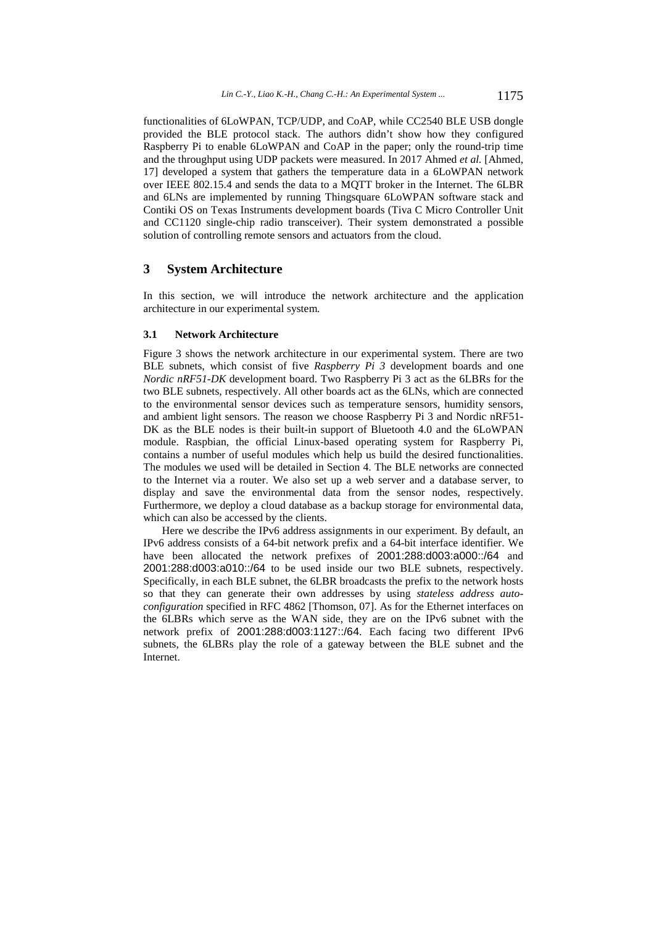functionalities of 6LoWPAN, TCP/UDP, and CoAP, while CC2540 BLE USB dongle provided the BLE protocol stack. The authors didn't show how they configured Raspberry Pi to enable 6LoWPAN and CoAP in the paper; only the round-trip time and the throughput using UDP packets were measured. In 2017 Ahmed *et al.* [Ahmed, 17] developed a system that gathers the temperature data in a 6LoWPAN network over IEEE 802.15.4 and sends the data to a MQTT broker in the Internet. The 6LBR and 6LNs are implemented by running Thingsquare 6LoWPAN software stack and Contiki OS on Texas Instruments development boards (Tiva C Micro Controller Unit and CC1120 single-chip radio transceiver). Their system demonstrated a possible solution of controlling remote sensors and actuators from the cloud.

# **3 System Architecture**

In this section, we will introduce the network architecture and the application architecture in our experimental system.

#### **3.1 Network Architecture**

Figure 3 shows the network architecture in our experimental system. There are two BLE subnets, which consist of five *Raspberry Pi 3* development boards and one *Nordic nRF51-DK* development board. Two Raspberry Pi 3 act as the 6LBRs for the two BLE subnets, respectively. All other boards act as the 6LNs, which are connected to the environmental sensor devices such as temperature sensors, humidity sensors, and ambient light sensors. The reason we choose Raspberry Pi 3 and Nordic nRF51- DK as the BLE nodes is their built-in support of Bluetooth 4.0 and the 6LoWPAN module. Raspbian, the official Linux-based operating system for Raspberry Pi, contains a number of useful modules which help us build the desired functionalities. The modules we used will be detailed in Section 4. The BLE networks are connected to the Internet via a router. We also set up a web server and a database server, to display and save the environmental data from the sensor nodes, respectively. Furthermore, we deploy a cloud database as a backup storage for environmental data, which can also be accessed by the clients.

Here we describe the IPv6 address assignments in our experiment. By default, an IPv6 address consists of a 64-bit network prefix and a 64-bit interface identifier. We have been allocated the network prefixes of 2001:288:d003:a000::/64 and 2001:288:d003:a010::/64 to be used inside our two BLE subnets, respectively. Specifically, in each BLE subnet, the 6LBR broadcasts the prefix to the network hosts so that they can generate their own addresses by using *stateless address autoconfiguration* specified in RFC 4862 [Thomson, 07]. As for the Ethernet interfaces on the 6LBRs which serve as the WAN side, they are on the IPv6 subnet with the network prefix of 2001:288:d003:1127::/64. Each facing two different IPv6 subnets, the 6LBRs play the role of a gateway between the BLE subnet and the Internet.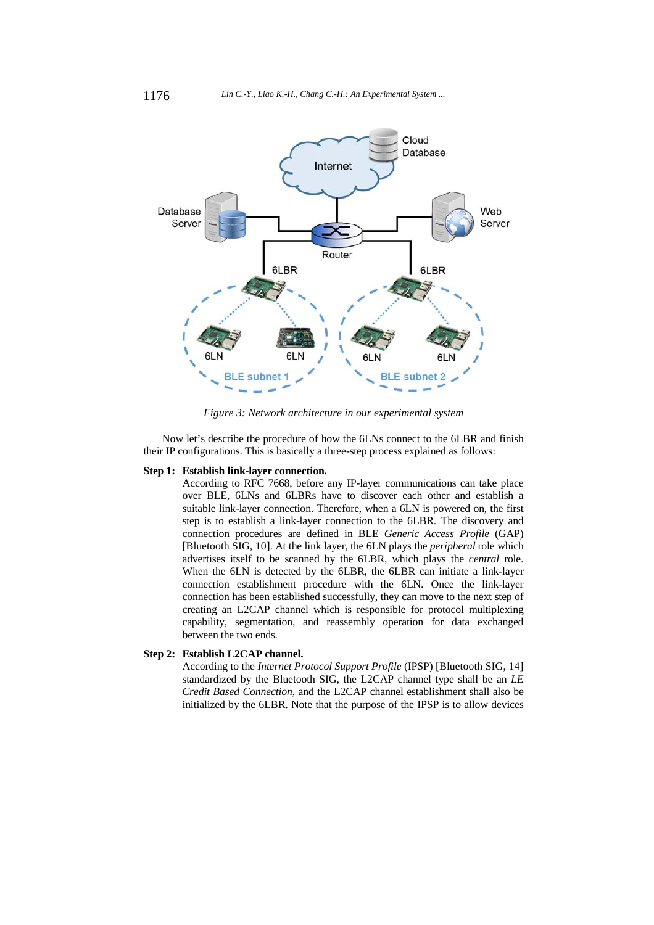

*Figure 3: Network architecture in our experimental system* 

Now let's describe the procedure of how the 6LNs connect to the 6LBR and finish their IP configurations. This is basically a three-step process explained as follows:

#### **Step 1: Establish link-layer connection.**

According to RFC 7668, before any IP-layer communications can take place over BLE, 6LNs and 6LBRs have to discover each other and establish a suitable link-layer connection. Therefore, when a 6LN is powered on, the first step is to establish a link-layer connection to the 6LBR. The discovery and connection procedures are defined in BLE *Generic Access Profile* (GAP) [Bluetooth SIG, 10]. At the link layer, the 6LN plays the *peripheral* role which advertises itself to be scanned by the 6LBR, which plays the *central* role. When the 6LN is detected by the 6LBR, the 6LBR can initiate a link-layer connection establishment procedure with the 6LN. Once the link-layer connection has been established successfully, they can move to the next step of creating an L2CAP channel which is responsible for protocol multiplexing capability, segmentation, and reassembly operation for data exchanged between the two ends.

# **Step 2: Establish L2CAP channel.**

According to the *Internet Protocol Support Profile* (IPSP) [Bluetooth SIG, 14] standardized by the Bluetooth SIG, the L2CAP channel type shall be an *LE Credit Based Connection*, and the L2CAP channel establishment shall also be initialized by the 6LBR. Note that the purpose of the IPSP is to allow devices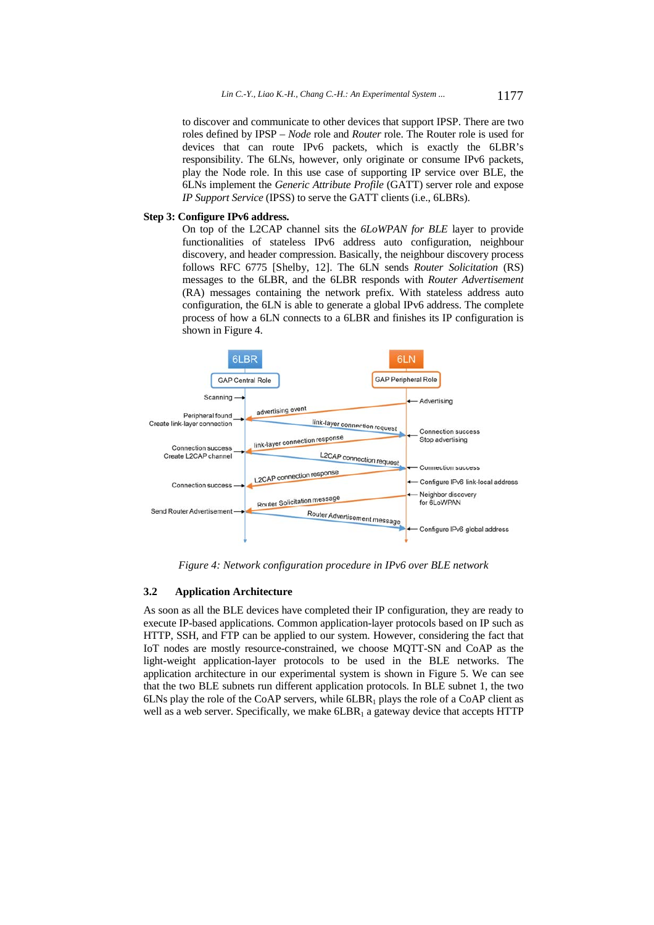to discover and communicate to other devices that support IPSP. There are two roles defined by IPSP – *Node* role and *Router* role. The Router role is used for devices that can route IPv6 packets, which is exactly the 6LBR's responsibility. The 6LNs, however, only originate or consume IPv6 packets, play the Node role. In this use case of supporting IP service over BLE, the 6LNs implement the *Generic Attribute Profile* (GATT) server role and expose *IP Support Service* (IPSS) to serve the GATT clients (i.e., 6LBRs).

#### **Step 3: Configure IPv6 address.**

On top of the L2CAP channel sits the *6LoWPAN for BLE* layer to provide functionalities of stateless IPv6 address auto configuration, neighbour discovery, and header compression. Basically, the neighbour discovery process follows RFC 6775 [Shelby, 12]. The 6LN sends *Router Solicitation* (RS) messages to the 6LBR, and the 6LBR responds with *Router Advertisement* (RA) messages containing the network prefix. With stateless address auto configuration, the 6LN is able to generate a global IPv6 address. The complete process of how a 6LN connects to a 6LBR and finishes its IP configuration is shown in Figure 4.



*Figure 4: Network configuration procedure in IPv6 over BLE network* 

#### **3.2 Application Architecture**

As soon as all the BLE devices have completed their IP configuration, they are ready to execute IP-based applications. Common application-layer protocols based on IP such as HTTP, SSH, and FTP can be applied to our system. However, considering the fact that IoT nodes are mostly resource-constrained, we choose MQTT-SN and CoAP as the light-weight application-layer protocols to be used in the BLE networks. The application architecture in our experimental system is shown in Figure 5. We can see that the two BLE subnets run different application protocols. In BLE subnet 1, the two 6LNs play the role of the CoAP servers, while  $6LBR<sub>1</sub>$  plays the role of a CoAP client as well as a web server. Specifically, we make  $6LBR<sub>1</sub>$  a gateway device that accepts HTTP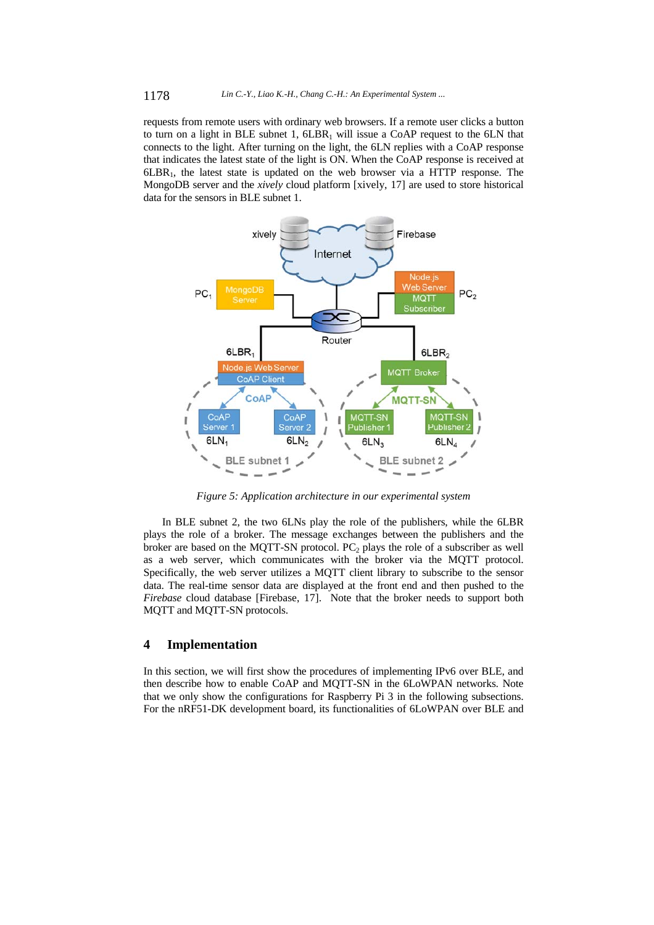requests from remote users with ordinary web browsers. If a remote user clicks a button to turn on a light in BLE subnet 1,  $6LBR<sub>1</sub>$  will issue a CoAP request to the 6LN that connects to the light. After turning on the light, the 6LN replies with a CoAP response that indicates the latest state of the light is ON. When the CoAP response is received at  $6LBR<sub>1</sub>$ , the latest state is updated on the web browser via a HTTP response. The MongoDB server and the *xively* cloud platform [xively, 17] are used to store historical data for the sensors in BLE subnet 1.



*Figure 5: Application architecture in our experimental system* 

In BLE subnet 2, the two 6LNs play the role of the publishers, while the 6LBR plays the role of a broker. The message exchanges between the publishers and the broker are based on the MQTT-SN protocol.  $PC_2$  plays the role of a subscriber as well as a web server, which communicates with the broker via the MQTT protocol. Specifically, the web server utilizes a MQTT client library to subscribe to the sensor data. The real-time sensor data are displayed at the front end and then pushed to the *Firebase* cloud database [Firebase, 17]. Note that the broker needs to support both MQTT and MQTT-SN protocols.

# **4 Implementation**

In this section, we will first show the procedures of implementing IPv6 over BLE, and then describe how to enable CoAP and MQTT-SN in the 6LoWPAN networks. Note that we only show the configurations for Raspberry Pi 3 in the following subsections. For the nRF51-DK development board, its functionalities of 6LoWPAN over BLE and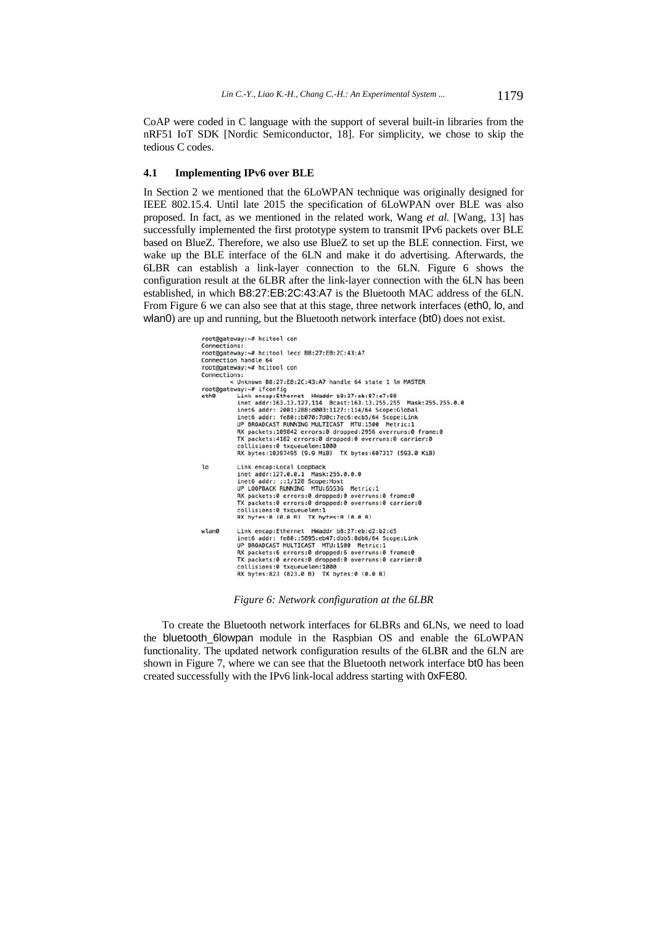CoAP were coded in C language with the support of several built-in libraries from the nRF51 IoT SDK [Nordic Semiconductor, 18]. For simplicity, we chose to skip the tedious C codes.

#### **4.1 Implementing IPv6 over BLE**

In Section 2 we mentioned that the 6LoWPAN technique was originally designed for IEEE 802.15.4. Until late 2015 the specification of 6LoWPAN over BLE was also proposed. In fact, as we mentioned in the related work, Wang *et al.* [Wang, 13] has successfully implemented the first prototype system to transmit IPv6 packets over BLE based on BlueZ. Therefore, we also use BlueZ to set up the BLE connection. First, we wake up the BLE interface of the 6LN and make it do advertising. Afterwards, the 6LBR can establish a link-layer connection to the 6LN. Figure 6 shows the configuration result at the 6LBR after the link-layer connection with the 6LN has been established, in which B8:27:EB:2C:43:A7 is the Bluetooth MAC address of the 6LN. From Figure 6 we can also see that at this stage, three network interfaces (eth0, lo, and wlan0) are up and running, but the Bluetooth network interface (bt0) does not exist.

```
root@gateway:~# hcitool con<br>Connections:
root@gateway:~# hcitool lecc B8:27:EB:2C:43:A7
Connection handle 64
root@gateway:~# hcitool con
Connections:
                < Unknown B8:27:EB:2C:43:A7 handle 64 state 1 lm MASTER
< Unknown B8:27:28:27.43:A7 handle 64 State 1 Lm MASTER<br>
root@gateway:~# ifconfig<br>
eth0 Link encap:Ethernet HWaddr b8:27:eb:87:e7:88<br>
inet addr:163.13.127.114 Beast:163.13.255.255 Mask:255.255.0.0<br>
inet6 addr: 2001:288:d0
                   ext packets:109842 errors:0 dropped:2956 overruns:0 frame:0<br>TX packets:109842 errors:0 dropped:2956 overruns:0 frame:0
                    collisions:0 txqueuelen:1000
                   RX bytes:10397495 (9.9 MiB) TX bytes:607317 (593.0 KiB)
10Link encap: Local Loopback
                    inet addr:127.0.0.1 Mask:255.0.0.0
                   inet6 addr: ::1/128 Scope:Host<br>UP LOOPBACK RUNNING MTU:65536 Metric:1
                   BR packets:0 errors:0 dropped:0 overruns:0 frame:0<br>TX packets:0 errors:0 dropped:0 overruns:0 carrier:0<br>collisions:0 txqueuelen:1<br>RX bytes:0 (0.0 B) TX bytes:0 (0.0 B)
                  Link encap:Ethernet HWaddr b8:27:eb:d2:b2:d5<br>inet6 addr: fe80::5895:eb47:dbb5:8db6/64 Scope:Link<br>UP BROADCAST MULTICAST MTU:1300 Metric:1<br>RX packets:6 errors:0 dropped:6 overruns:0 frame:0<br>TX packets:0 errors:0 dropped:0 o
wlan0
                   collisions:0 txqueuelen:1000<br>RX bytes:823 (823.0 B) TX bytes:0 (0.0 B)
```
*Figure 6: Network configuration at the 6LBR* 

To create the Bluetooth network interfaces for 6LBRs and 6LNs, we need to load the bluetooth\_6lowpan module in the Raspbian OS and enable the 6LoWPAN functionality. The updated network configuration results of the 6LBR and the 6LN are shown in Figure 7, where we can see that the Bluetooth network interface bt0 has been created successfully with the IPv6 link-local address starting with 0xFE80.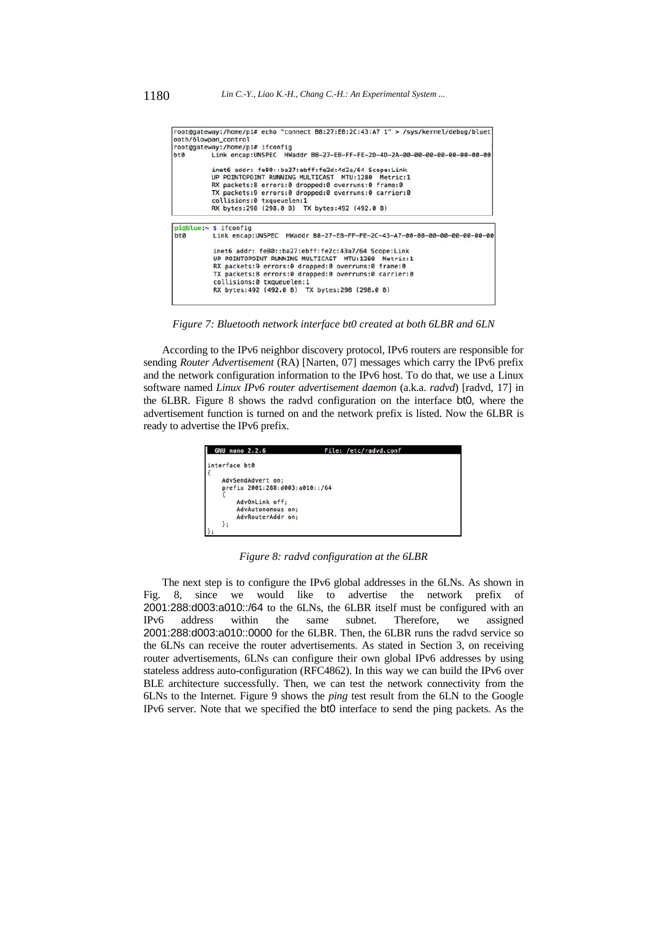|     | root@gateway:/home/pi# echo "connect B8:27:EB:2C:43:A7 1" > /sys/kernel/debug/bluet<br>ooth/6lowpan_control |
|-----|-------------------------------------------------------------------------------------------------------------|
|     | root@gateway:/home/pi# ifconfig                                                                             |
| bt0 | Link encap:UNSPEC HWaddr B8-27-EB-FF-FE-2D-4D-2A-00-00-00-00-00-00-00-00                                    |
|     | inet6 addr: fe80::ba27:ebff:fe2d:4d2a/64 Scope:Link                                                         |
|     | UP POINTOPOINT RUNNING MULTICAST MTU:1280 Metric:1                                                          |
|     | RX packets:8 errors:0 dropped:0 overruns:0 frame:0                                                          |
|     | TX packets:9 errors:0 dropped:0 overruns:0 carrier:0                                                        |
|     | collisions:0 txqueuelen:1                                                                                   |
|     | RX bytes:298 (298.0 B) TX bytes:492 (492.0 B)                                                               |
|     | pi@blue:~ \$ ifconfig                                                                                       |
| bt0 | Link encap:UNSPEC HWaddr B8-27-EB-FF-FE-2C-43-A7-00-00-00-00-00-00-00-00                                    |
|     | inet6 addr: fe80::ba27:ebff:fe2c:43a7/64 Scope:Link                                                         |
|     | UP POINTOPOINT RUNNING MULTICAST MTU:1280 Metric:1                                                          |
|     | RX packets:9 errors:0 dropped:0 overruns:0 frame:0                                                          |
|     | TX packets:8 errors:0 dropped:0 overruns:0 carrier:0                                                        |
|     | collisions:0 txqueuelen:1                                                                                   |
|     | RX bytes:492 (492.0 B) TX bytes:298 (298.0 B)                                                               |

*Figure 7: Bluetooth network interface bt0 created at both 6LBR and 6LN* 

According to the IPv6 neighbor discovery protocol, IPv6 routers are responsible for sending *Router Advertisement* (RA) [Narten, 07] messages which carry the IPv6 prefix and the network configuration information to the IPv6 host. To do that, we use a Linux software named *Linux IPv6 router advertisement daemon* (a.k.a. *radvd*) [radvd, 17] in the 6LBR. Figure 8 shows the radvd configuration on the interface bt0, where the advertisement function is turned on and the network prefix is listed. Now the 6LBR is ready to advertise the IPv6 prefix.

| <b>GNU nano 2.2.6</b>          | File: /etc/radvd.conf |
|--------------------------------|-----------------------|
| interface bt0                  |                       |
|                                |                       |
| AdvSendAdvert on:              |                       |
| prefix 2001:288:d003:a010::/64 |                       |
|                                |                       |
| AdvOnLink off;                 |                       |
| AdvAutonomous on;              |                       |
| AdvRouterAddr on:              |                       |
| };                             |                       |
|                                |                       |

*Figure 8: radvd configuration at the 6LBR* 

The next step is to configure the IPv6 global addresses in the 6LNs. As shown in Fig. 8, since we would like to advertise the network prefix of 2001:288:d003:a010::/64 to the 6LNs, the 6LBR itself must be configured with an IPv6 address within the same subnet. Therefore, we assigned 2001:288:d003:a010::0000 for the 6LBR. Then, the 6LBR runs the radvd service so the 6LNs can receive the router advertisements. As stated in Section 3, on receiving router advertisements, 6LNs can configure their own global IPv6 addresses by using stateless address auto-configuration (RFC4862). In this way we can build the IPv6 over BLE architecture successfully. Then, we can test the network connectivity from the 6LNs to the Internet. Figure 9 shows the *ping* test result from the 6LN to the Google IPv6 server. Note that we specified the bt0 interface to send the ping packets. As the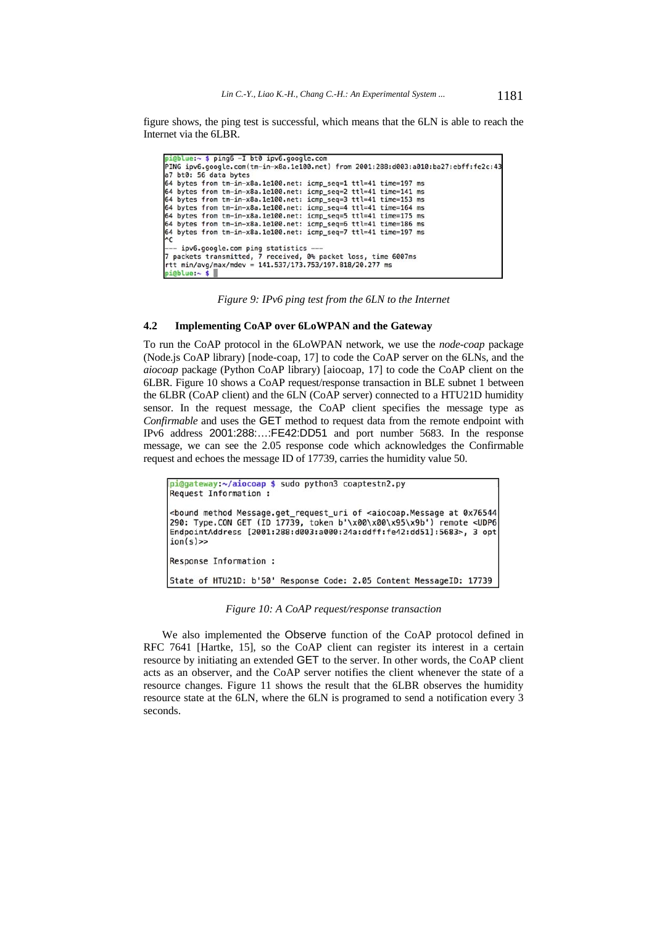figure shows, the ping test is successful, which means that the 6LN is able to reach the Internet via the 6LBR.

|          |                       |                       | $p_{10}$ plue: $\sim$ \$ pingo -1 pto ipvo.google.com |                                                                  |  |                                                                                     |
|----------|-----------------------|-----------------------|-------------------------------------------------------|------------------------------------------------------------------|--|-------------------------------------------------------------------------------------|
|          |                       |                       |                                                       |                                                                  |  | PING ipv6.google.com(tm-in-x8a.1e100.net) from 2001:288:d003:a010:ba27:ebff:fe2c:43 |
|          |                       | a7 bt0: 56 data bytes |                                                       |                                                                  |  |                                                                                     |
|          |                       |                       |                                                       | 64 bytes from tm-in-x8a.1e100.net: icmp seq=1 ttl=41 time=197 ms |  |                                                                                     |
|          |                       |                       |                                                       | 64 bytes from tm-in-x8a.1e100.net: icmp seq=2 ttl=41 time=141 ms |  |                                                                                     |
|          |                       |                       |                                                       | 64 bytes from tm-in-x8a.1e100.net: icmp seq=3 ttl=41 time=153 ms |  |                                                                                     |
|          |                       |                       |                                                       | 64 bytes from tm-in-x8a.1e100.net: icmp_seq=4 ttl=41 time=164 ms |  |                                                                                     |
|          |                       |                       |                                                       | 64 bytes from tm-in-x8a.1e100.net: icmp seq=5 ttl=41 time=175 ms |  |                                                                                     |
|          |                       |                       |                                                       | 64 bytes from tm-in-x8a.1e100.net: icmp_seq=6 ttl=41 time=186 ms |  |                                                                                     |
|          |                       |                       |                                                       | 64 bytes from tm-in-x8a.1e100.net: icmp_seq=7 ttl=41 time=197 ms |  |                                                                                     |
| $\sim$ C |                       |                       |                                                       |                                                                  |  |                                                                                     |
|          |                       |                       | --- ipv6.google.com ping statistics ---               |                                                                  |  |                                                                                     |
|          |                       |                       |                                                       | 7 packets transmitted, 7 received, 0% packet loss, time 6007ms   |  |                                                                                     |
|          |                       |                       |                                                       | rtt min/avg/max/mdev = 141.537/173.753/197.818/20.277 ms         |  |                                                                                     |
|          | $n$ iablue: $\sim$ \$ |                       |                                                       |                                                                  |  |                                                                                     |

*Figure 9: IPv6 ping test from the 6LN to the Internet* 

#### **4.2 Implementing CoAP over 6LoWPAN and the Gateway**

To run the CoAP protocol in the 6LoWPAN network, we use the *node-coap* package (Node.js CoAP library) [node-coap, 17] to code the CoAP server on the 6LNs, and the *aiocoap* package (Python CoAP library) [aiocoap, 17] to code the CoAP client on the 6LBR. Figure 10 shows a CoAP request/response transaction in BLE subnet 1 between the 6LBR (CoAP client) and the 6LN (CoAP server) connected to a HTU21D humidity sensor. In the request message, the CoAP client specifies the message type as *Confirmable* and uses the GET method to request data from the remote endpoint with IPv6 address 2001:288:…:FE42:DD51 and port number 5683. In the response message, we can see the 2.05 response code which acknowledges the Confirmable request and echoes the message ID of 17739, carries the humidity value 50.

```
pi@gateway:~/aiocoap $ sudo python3 coaptestn2.py
Request Information :
<bound method Message.get_request_uri of <aiocoap.Message at 0x76544
290: Type.CON GET (ID 17739, token b'\x00\x00\x95\x9b') remote <UDP6
EndpointAddress [2001:288:d003:a000:24a:ddff:fe42:dd51]:5683>, 3 opt
ion(s)Response Information :
State of HTU21D: b'50' Response Code: 2.05 Content MessageID: 17739
```
*Figure 10: A CoAP request/response transaction* 

We also implemented the Observe function of the CoAP protocol defined in RFC 7641 [Hartke, 15], so the CoAP client can register its interest in a certain resource by initiating an extended GET to the server. In other words, the CoAP client acts as an observer, and the CoAP server notifies the client whenever the state of a resource changes. Figure 11 shows the result that the 6LBR observes the humidity resource state at the 6LN, where the 6LN is programed to send a notification every 3 seconds.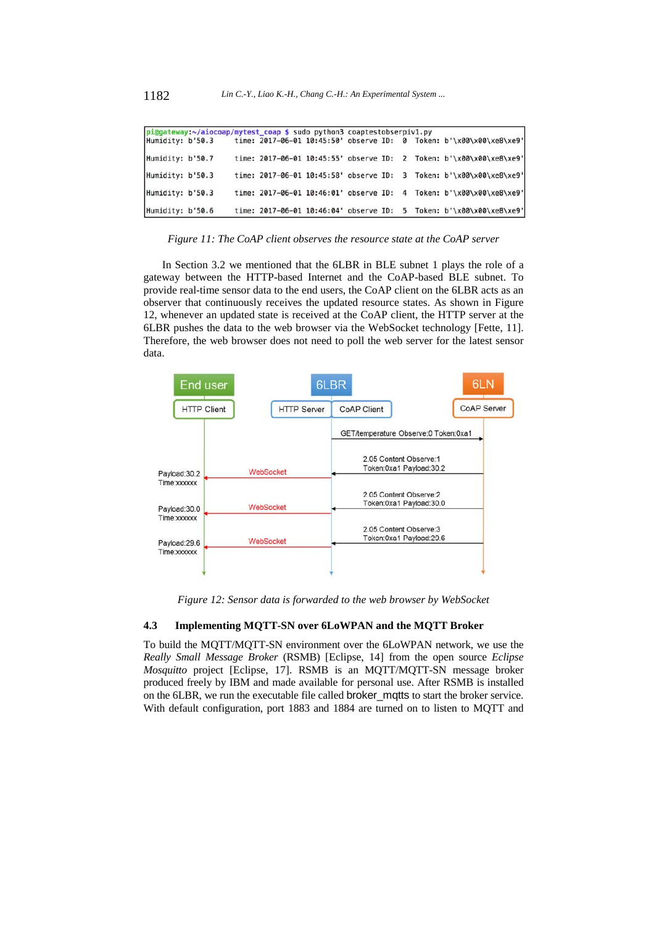|                  | pi@gateway:~/aiocoap/mytest_coap \$ sudo python3 coaptestobserpiv1.py |  |  |  |                                                                     |
|------------------|-----------------------------------------------------------------------|--|--|--|---------------------------------------------------------------------|
|                  | Humidity: b'50.3                                                      |  |  |  | time: 2017-06-01 10:45:50' observe ID: 0 Token: b'\x00\x00\xe8\xe9' |
| Humidity: b'50.7 |                                                                       |  |  |  | time: 2017-06-01 10:45:55' observe ID: 2 Token: b'\x00\x00\xe8\xe9' |
| Humidity: b'50.3 |                                                                       |  |  |  | time: 2017-06-01 10:45:58' observe ID: 3 Token: b'\x00\x00\xe8\xe9' |
| Humidity: b'50.3 |                                                                       |  |  |  | time: 2017-06-01 10:46:01' observe ID: 4 Token: b'\x00\x00\xe8\xe9' |
| Humidity: b'50.6 |                                                                       |  |  |  | time: 2017-06-01 10:46:04' observe ID: 5 Token: b'\x00\x00\xe8\xe9' |

*Figure 11: The CoAP client observes the resource state at the CoAP server* 

In Section 3.2 we mentioned that the 6LBR in BLE subnet 1 plays the role of a gateway between the HTTP-based Internet and the CoAP-based BLE subnet. To provide real-time sensor data to the end users, the CoAP client on the 6LBR acts as an observer that continuously receives the updated resource states. As shown in Figure 12, whenever an updated state is received at the CoAP client, the HTTP server at the 6LBR pushes the data to the web browser via the WebSocket technology [Fette, 11]. Therefore, the web browser does not need to poll the web server for the latest sensor data.



*Figure 12: Sensor data is forwarded to the web browser by WebSocket* 

### **4.3 Implementing MQTT-SN over 6LoWPAN and the MQTT Broker**

To build the MQTT/MQTT-SN environment over the 6LoWPAN network, we use the *Really Small Message Broker* (RSMB) [Eclipse, 14] from the open source *Eclipse Mosquitto* project [Eclipse, 17]. RSMB is an MQTT/MQTT-SN message broker produced freely by IBM and made available for personal use. After RSMB is installed on the 6LBR, we run the executable file called broker\_mqtts to start the broker service. With default configuration, port 1883 and 1884 are turned on to listen to MQTT and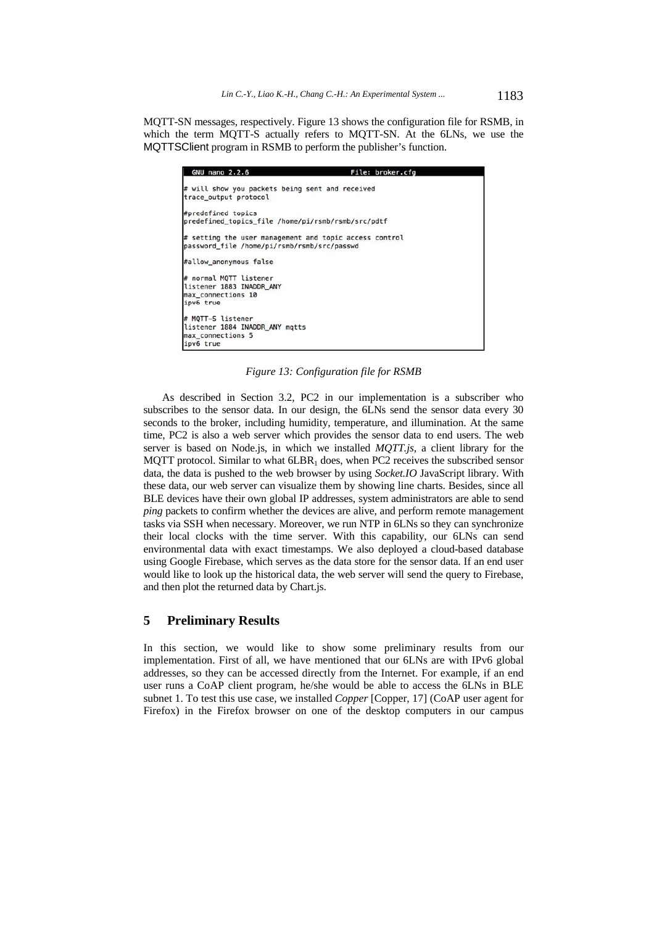MQTT-SN messages, respectively. Figure 13 shows the configuration file for RSMB, in which the term MQTT-S actually refers to MQTT-SN. At the 6LNs, we use the MQTTSClient program in RSMB to perform the publisher's function.

| <b>GNU nano 2.2.6</b>                                                                                 | File: broker.cfg |
|-------------------------------------------------------------------------------------------------------|------------------|
| # will show you packets being sent and received<br>trace_output protocol                              |                  |
| #predefined topics<br>predefined_topics_file /home/pi/rsmb/rsmb/src/pdtf                              |                  |
| # setting the user management and topic access control<br>password_file /home/pi/rsmb/rsmb/src/passwd |                  |
| #allow anonymous false                                                                                |                  |
| # normal MOTT listener<br>listener 1883 INADDR ANY<br>max connections 10<br>ipv6 true                 |                  |
| # MOTT-S listener<br>listener 1884 INADDR ANY matts<br>max connections 5<br>ipv6 true                 |                  |

*Figure 13: Configuration file for RSMB* 

As described in Section 3.2, PC2 in our implementation is a subscriber who subscribes to the sensor data. In our design, the 6LNs send the sensor data every 30 seconds to the broker, including humidity, temperature, and illumination. At the same time, PC2 is also a web server which provides the sensor data to end users. The web server is based on Node.js, in which we installed *MQTT.js*, a client library for the MQTT protocol. Similar to what  $6LBR<sub>1</sub>$  does, when PC2 receives the subscribed sensor data, the data is pushed to the web browser by using *Socket.IO* JavaScript library. With these data, our web server can visualize them by showing line charts. Besides, since all BLE devices have their own global IP addresses, system administrators are able to send *ping* packets to confirm whether the devices are alive, and perform remote management tasks via SSH when necessary. Moreover, we run NTP in 6LNs so they can synchronize their local clocks with the time server. With this capability, our 6LNs can send environmental data with exact timestamps. We also deployed a cloud-based database using Google Firebase, which serves as the data store for the sensor data. If an end user would like to look up the historical data, the web server will send the query to Firebase, and then plot the returned data by Chart.js.

# **5 Preliminary Results**

In this section, we would like to show some preliminary results from our implementation. First of all, we have mentioned that our 6LNs are with IPv6 global addresses, so they can be accessed directly from the Internet. For example, if an end user runs a CoAP client program, he/she would be able to access the 6LNs in BLE subnet 1. To test this use case, we installed *Copper* [Copper, 17] (CoAP user agent for Firefox) in the Firefox browser on one of the desktop computers in our campus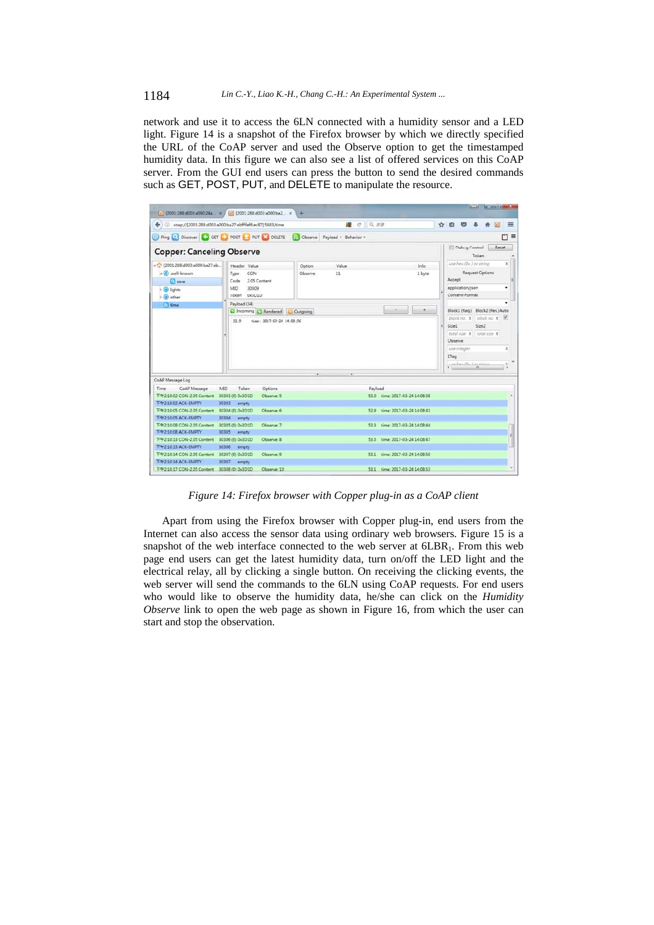network and use it to access the 6LN connected with a humidity sensor and a LED light. Figure 14 is a snapshot of the Firefox browser by which we directly specified the URL of the CoAP server and used the Observe option to get the timestamped humidity data. In this figure we can also see a list of offered services on this CoAP server. From the GUI end users can press the button to send the desired commands such as GET, POST, PUT, and DELETE to manipulate the resource.

|                                                                                                                                | [a] [2001:288:d003:a000:24a_ x / [a] [2001:288:d003:a000:ba2., x   | ÷                                                                      |                                                                  |   |                                |                                                 |       |        |                           |  |
|--------------------------------------------------------------------------------------------------------------------------------|--------------------------------------------------------------------|------------------------------------------------------------------------|------------------------------------------------------------------|---|--------------------------------|-------------------------------------------------|-------|--------|---------------------------|--|
|                                                                                                                                | ← 0 coap://[2001:288:d003:a000.ba27:ebff.fef6.ec87]:5683/time      | ■ C Q 照图                                                               |                                                                  | ✿ | 自.                             | $\sim$                                          |       |        | $=$                       |  |
|                                                                                                                                |                                                                    | Ping C Discover G GET POST PUT X DELETE a Observe Payload + Behavior + |                                                                  |   |                                |                                                 |       |        | $\Box$                    |  |
| <b>Copper: Canceling Observe</b>                                                                                               |                                                                    |                                                                        |                                                                  |   |                                | Debug Control                                   | Token | Reset. |                           |  |
| o (2001-288-d003-a000-ba27-eb<br>a C .well-known                                                                               | Header Value<br><b>CON</b><br>Type                                 | Option<br>Value<br>Observe<br>11                                       | Info<br>1 byte                                                   |   |                                |                                                 |       |        | x                         |  |
| $\Box$ core<br>$\triangleright$ (e) lights<br>$\mathfrak{b}$ $\bullet$ other                                                   | 2.05 Content<br>Code<br>30309<br><b>CIM</b><br>Token 0x3D1D        |                                                                        | Accept<br>application/json<br>Content-Format                     |   |                                | ٠                                               |       |        |                           |  |
| <b>E</b> time                                                                                                                  | Payload (34)<br>Incoming C Rendered C Outgoing                     |                                                                        |                                                                  |   |                                | Block1 (Reg.) Block2 (Res.) Auto                |       |        |                           |  |
|                                                                                                                                | 52.9<br>tine: 2017-03-24 14:08:56                                  |                                                                        |                                                                  |   | Size1                          |                                                 | Size2 |        |                           |  |
|                                                                                                                                |                                                                    |                                                                        |                                                                  |   | Observe<br>use integer<br>ETag | total size X total size X<br>centau de Lacasina |       |        | $\boldsymbol{\mathsf{x}}$ |  |
|                                                                                                                                |                                                                    |                                                                        |                                                                  |   |                                |                                                 |       |        |                           |  |
| CoAP Message<br>Time<br>F4-2-10-02 CON-2.05 Content                                                                            | MID.<br>Token<br>Options<br>30303 (0) 0x3D1D<br>Observe: 5         | Payload                                                                | 53.0 time: 2017-03-24 14:08:38                                   |   |                                |                                                 |       |        | $\bullet$                 |  |
| T#2:10:02 ACK-EMPTY<br>T421005 CON-205 Content<br>T4921005 ACK-EMPTY                                                           | 30303<br>empty<br>30304 (0) 0x3D1D<br>Observe: 6<br>30304<br>empty |                                                                        | 52.9 time: 2017-03-24 14:08:41                                   |   |                                |                                                 |       |        |                           |  |
| T#210.08 CON-2.05 Content 30305 (0) 0x3D1D<br>T#2-10:08 ACK-EMPTY                                                              | Observe: 7<br>30305<br>empty                                       |                                                                        | 53.3 time: 2017-03-24 14:08:44                                   |   |                                |                                                 |       |        | g)                        |  |
| CoAP Message Log<br>F421013 CON-2.05 Content 30306 (0) 0x3D1D<br>T#21013 ACK-EMPTY<br>T421014 CON-205 Content 30307 (0) 0x3D1D | Observe: 8<br>30306 empty<br>Observe: 9                            |                                                                        | 53.5 time: 2017-03-24 14:08:47<br>53.1 time: 2017-03-24 14:08:50 |   |                                |                                                 |       |        |                           |  |

*Figure 14: Firefox browser with Copper plug-in as a CoAP client* 

Apart from using the Firefox browser with Copper plug-in, end users from the Internet can also access the sensor data using ordinary web browsers. Figure 15 is a snapshot of the web interface connected to the web server at  $6LBR<sub>1</sub>$ . From this web page end users can get the latest humidity data, turn on/off the LED light and the electrical relay, all by clicking a single button. On receiving the clicking events, the web server will send the commands to the 6LN using CoAP requests. For end users who would like to observe the humidity data, he/she can click on the *Humidity Observe* link to open the web page as shown in Figure 16, from which the user can start and stop the observation.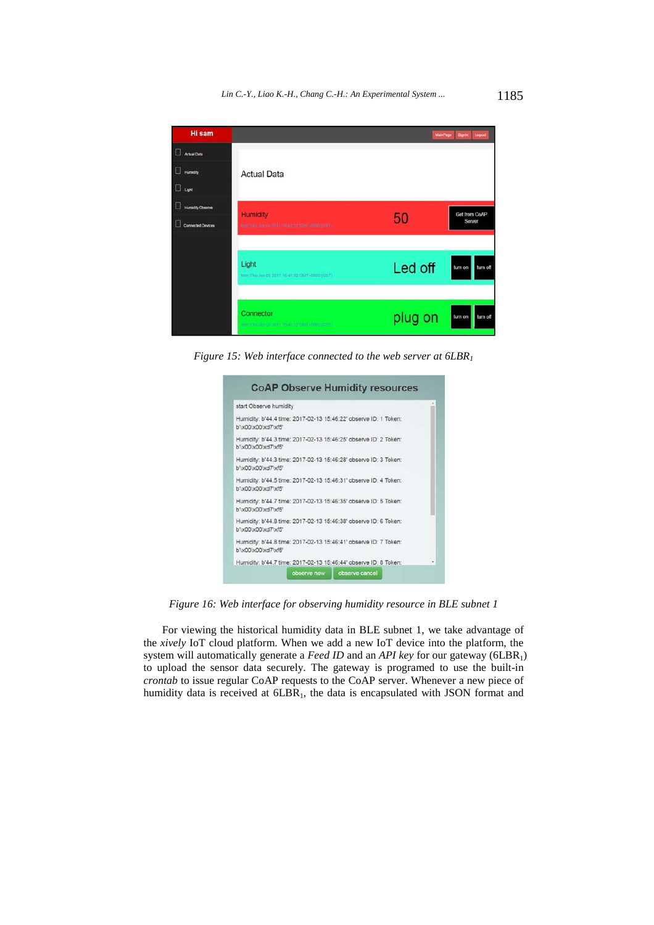

*Figure 15: Web interface connected to the web server at 6LBR1*

| start Observe humidity                                                                  |  |  |
|-----------------------------------------------------------------------------------------|--|--|
| Humidity: b'44.4 time: 2017-02-13 15:46:22' observe ID: 1 Token:<br>b"\x00\x00\xd7\xf5" |  |  |
| Humidity: b'44.3 time: 2017-02-13 15:46:25' observe ID: 2 Token:<br>b"\x00\x00\xd7\xf5" |  |  |
| Humidity: b'44.3 time: 2017-02-13 15:46:28' observe ID: 3 Token:<br>b"\x00\x00\xd7\xf5" |  |  |
| Humidity: b'44.5 time: 2017-02-13 15:46:31' observe ID: 4 Token:<br>b"\x00\x00\xd7\xf5" |  |  |
| Humidity: b'44.7 time: 2017-02-13 15:46:35' observe ID: 5 Token:<br>b"\x00\x00\xd7\xf5" |  |  |
| Humidity: b'44.8 time: 2017-02-13 15:46:38' observe ID: 6 Token:<br>b"\x00\x00\xd7\xf5" |  |  |
| Humidity: b'44.8 time: 2017-02-13 15:46:41' observe ID: 7 Token:<br>b'\x00\x00\xd7\xf5' |  |  |
| Humidity: b'44.7 time: 2017-02-13 15:46:44' observe ID: 8 Token:                        |  |  |

*Figure 16: Web interface for observing humidity resource in BLE subnet 1* 

For viewing the historical humidity data in BLE subnet 1, we take advantage of the *xively* IoT cloud platform. When we add a new IoT device into the platform, the system will automatically generate a *Feed ID* and an *API key* for our gateway (6LBR<sub>1</sub>) to upload the sensor data securely. The gateway is programed to use the built-in *crontab* to issue regular CoAP requests to the CoAP server. Whenever a new piece of humidity data is received at 6LBR<sub>1</sub>, the data is encapsulated with JSON format and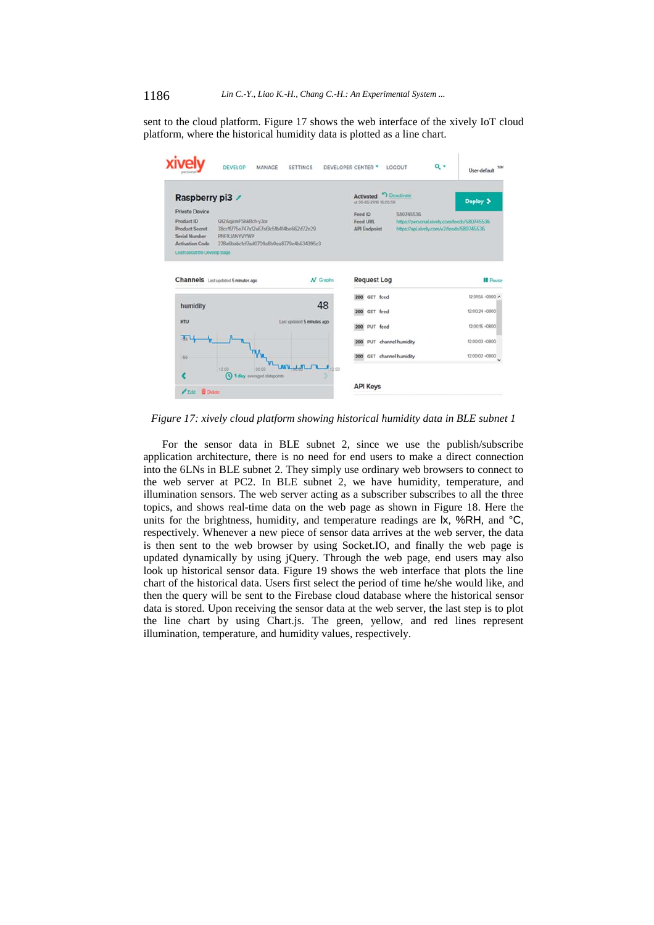sent to the cloud platform. Figure 17 shows the web interface of the xively IoT cloud platform, where the historical humidity data is plotted as a line chart.

| Raspberry pi3 /                                                                       |                                                                                                                              | <b>Deactivate</b><br><b>Activated</b><br>at 30-06-2016 16:26:50 | Deploy >                                                                                 |
|---------------------------------------------------------------------------------------|------------------------------------------------------------------------------------------------------------------------------|-----------------------------------------------------------------|------------------------------------------------------------------------------------------|
| Private Device                                                                        |                                                                                                                              | Feed ID<br>580745536                                            |                                                                                          |
| Product ID<br><b>Product Secret</b><br><b>Serial Number</b><br><b>Activation Code</b> | Qt2AgicmFShkBch-y3or<br>38cc1f775e747a12a67af3c51b414be662d72e29<br>PNFXJANYVYWP<br>278a6babc1cf7ad0709a8b0ea8779e4b634395c3 | Feed URL<br><b>API Endpoint</b>                                 | https://personal.xively.com/feeds/580745536<br>https://api.xively.com/v2/feeds/580745536 |
| Learn about the Develop stage                                                         |                                                                                                                              |                                                                 |                                                                                          |
|                                                                                       | Channels Last updated 5 minutes ago<br>$N$ Graphs                                                                            | <b>Request Log</b>                                              | <b>II</b> Pause                                                                          |
|                                                                                       |                                                                                                                              | 200 GET feed                                                    | 12:01:56 +0800 A                                                                         |
| humidity                                                                              | 48                                                                                                                           | GET feed<br>200                                                 | 12:00:24 +0800                                                                           |
| <b>HTU</b>                                                                            | Last updated 5 minutes ago                                                                                                   | PUT feed<br>200                                                 | 12:00:15 +0800                                                                           |
|                                                                                       |                                                                                                                              |                                                                 |                                                                                          |
|                                                                                       |                                                                                                                              | PUT channel humidity<br>200                                     | 12:00:03 +0800                                                                           |

*Figure 17: xively cloud platform showing historical humidity data in BLE subnet 1* 

For the sensor data in BLE subnet 2, since we use the publish/subscribe application architecture, there is no need for end users to make a direct connection into the 6LNs in BLE subnet 2. They simply use ordinary web browsers to connect to the web server at PC2. In BLE subnet 2, we have humidity, temperature, and illumination sensors. The web server acting as a subscriber subscribes to all the three topics, and shows real-time data on the web page as shown in Figure 18. Here the units for the brightness, humidity, and temperature readings are  $\mathsf{lx}$ , %RH, and °C, respectively. Whenever a new piece of sensor data arrives at the web server, the data is then sent to the web browser by using Socket.IO, and finally the web page is updated dynamically by using jQuery. Through the web page, end users may also look up historical sensor data. Figure 19 shows the web interface that plots the line chart of the historical data. Users first select the period of time he/she would like, and then the query will be sent to the Firebase cloud database where the historical sensor data is stored. Upon receiving the sensor data at the web server, the last step is to plot the line chart by using Chart.js. The green, yellow, and red lines represent illumination, temperature, and humidity values, respectively.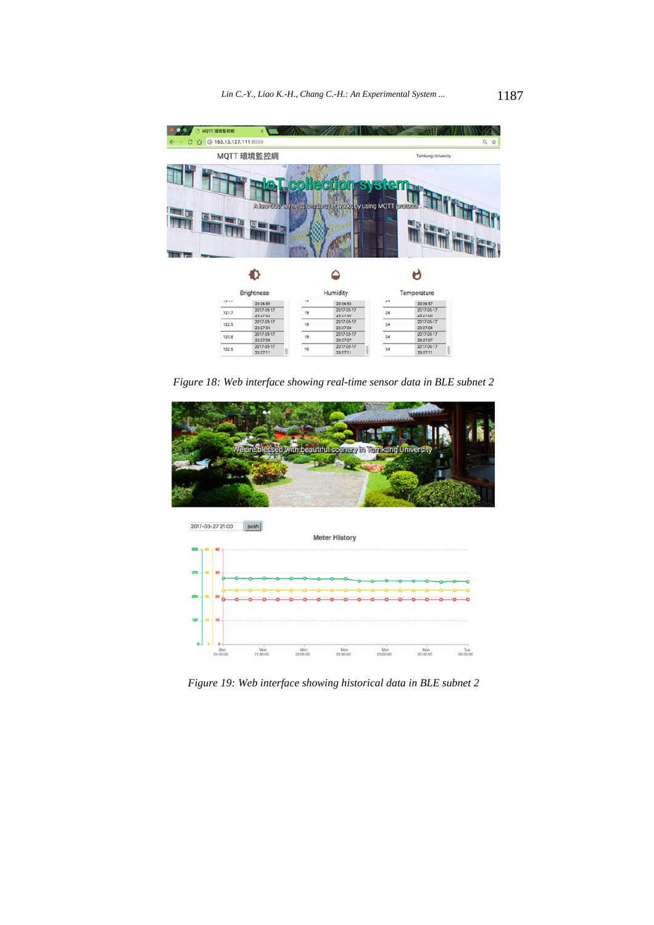

*Figure 18: Web interface showing real-time sensor data in BLE subnet 2* 





*Figure 19: Web interface showing historical data in BLE subnet 2*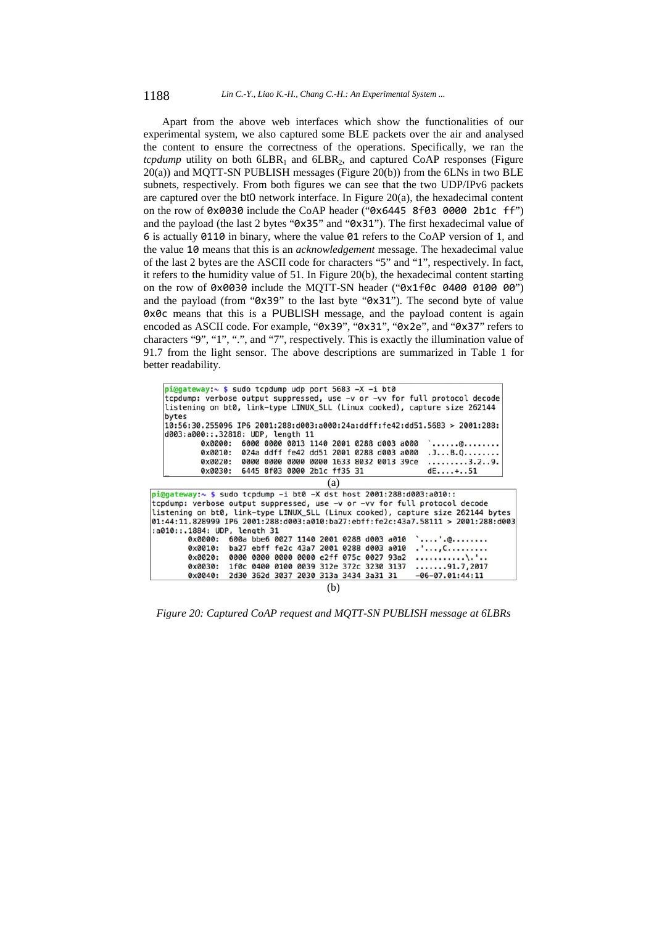Apart from the above web interfaces which show the functionalities of our experimental system, we also captured some BLE packets over the air and analysed the content to ensure the correctness of the operations. Specifically, we ran the *tcpdump* utility on both  $6LBR_1$  and  $6LBR_2$ , and captured CoAP responses (Figure 20(a)) and MQTT-SN PUBLISH messages (Figure 20(b)) from the 6LNs in two BLE subnets, respectively. From both figures we can see that the two UDP/IPv6 packets are captured over the bt0 network interface. In Figure 20(a), the hexadecimal content on the row of 0x0030 include the CoAP header ("0x6445 8f03 0000 2b1c ff") and the payload (the last 2 bytes "0x35" and "0x31"). The first hexadecimal value of 6 is actually 0110 in binary, where the value 01 refers to the CoAP version of 1, and the value 10 means that this is an *acknowledgement* message. The hexadecimal value of the last 2 bytes are the ASCII code for characters "5" and "1", respectively. In fact, it refers to the humidity value of 51. In Figure 20(b), the hexadecimal content starting on the row of 0x0030 include the MQTT-SN header ("0x1f0c 0400 0100 00") and the payload (from "0x39" to the last byte "0x31"). The second byte of value 0x0c means that this is a PUBLISH message, and the payload content is again encoded as ASCII code. For example, "0x39", "0x31", "0x2e", and "0x37" refers to characters "9", "1", ".", and "7", respectively. This is exactly the illumination value of 91.7 from the light sensor. The above descriptions are summarized in Table 1 for better readability.

| $pi$ @gateway:~ \$ sudo tcpdump udp port 5683 -X -i bt0                 |                                                 |                                         |  |                                       |  |                   | tcpdump: verbose output suppressed, use -v or -vv for full protocol decode          |
|-------------------------------------------------------------------------|-------------------------------------------------|-----------------------------------------|--|---------------------------------------|--|-------------------|-------------------------------------------------------------------------------------|
| bytes                                                                   |                                                 |                                         |  |                                       |  |                   | listening on bt0, link-type LINUX SLL (Linux cooked), capture size 262144           |
| d003:a000::.32818: UDP, length 11                                       |                                                 |                                         |  |                                       |  |                   | 10:56:30.255096 IP6 2001:288:d003:a000:24a:ddff:fe42:dd51.5683 > 2001:288:          |
| $0 \times 0000$ :                                                       |                                                 | 6000 0000 0013 1140 2001 0288 d003 a000 |  |                                       |  |                   | $\ldots \ldots \ldots$                                                              |
|                                                                         | 0x0010: 024a ddff fe42 dd51 2001 0288 d003 a000 |                                         |  |                                       |  |                   | . JB. Q                                                                             |
| $0 \times 0020$ :                                                       |                                                 | 0000 0000 0000 0000 1633 8032 0013 39ce |  |                                       |  |                   | . 3 . 2 9 .                                                                         |
|                                                                         | 0x0030: 6445 8f03 0000 2b1c ff35 31             |                                         |  |                                       |  |                   | $dE+ .51$                                                                           |
|                                                                         |                                                 |                                         |  | (a)                                   |  |                   |                                                                                     |
| $pi@gateway: ~$ \$ sudo tcpdump -i bt0 -X dst host 2001:288:d003:a010:: |                                                 |                                         |  |                                       |  |                   |                                                                                     |
|                                                                         |                                                 |                                         |  |                                       |  |                   | tcpdump: verbose output suppressed, use -v or -vv for full protocol decode          |
|                                                                         |                                                 |                                         |  |                                       |  |                   | listening on bt0, link-type LINUX SLL (Linux cooked), capture size 262144 bytes     |
|                                                                         |                                                 |                                         |  |                                       |  |                   | $ 01:44:11.828999$ IP6 2001:288:d003:a010:ba27:ebff:fe2c:43a7.58111 > 2001:288:d003 |
| :a010::.1884: UDP. length 31                                            |                                                 |                                         |  |                                       |  |                   |                                                                                     |
| $0 \times 0000$ :                                                       | 600a bbe6 0027 1140 2001 0288 d003 a010         |                                         |  |                                       |  |                   | $\ldots \ldots$ . $\mathbb{e} \ldots \ldots$                                        |
| $0 \times 0010$ :                                                       | ba27 ebff fe2c 43a7 2001 0288 d003 a010         |                                         |  |                                       |  |                   | . ' , C.                                                                            |
| $0 \times 0020$ :                                                       | 0000 0000 0000 0000 e2ff 075c 0027 93a2         |                                         |  |                                       |  |                   | . \ . '                                                                             |
| $0 \times 0030:$                                                        | 1f0c 0400 0100 0039 312e 372c 3230 3137         |                                         |  |                                       |  |                   | 91.7.2017                                                                           |
|                                                                         |                                                 |                                         |  | 2d30 362d 3037 2030 313a 3434 3a31 31 |  | $-06-07.01:44:11$ |                                                                                     |

(b)

*Figure 20: Captured CoAP request and MQTT-SN PUBLISH message at 6LBRs*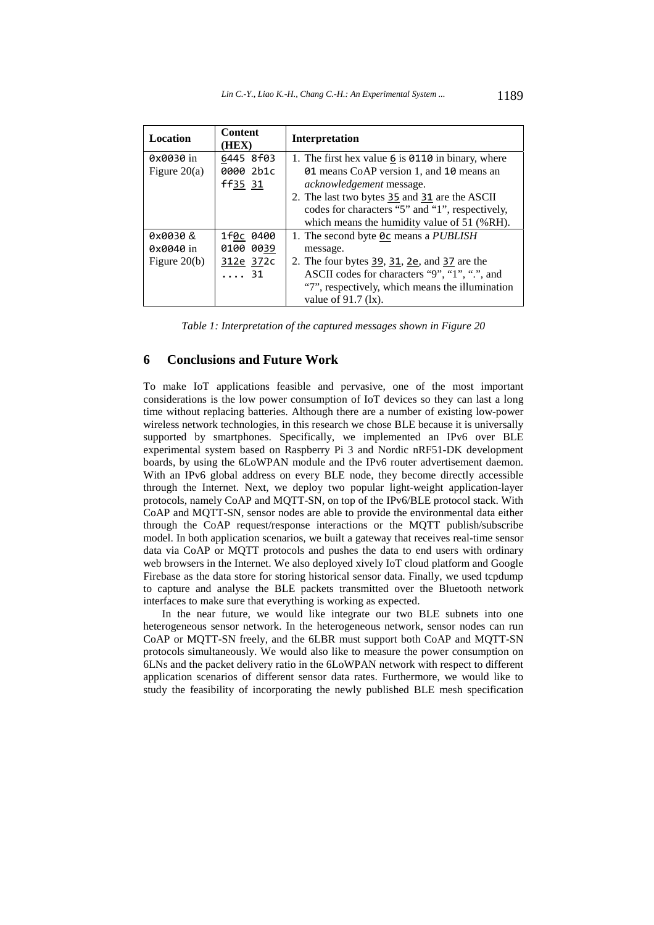| Location       | <b>Content</b><br>(HEX) | Interpretation                                    |
|----------------|-------------------------|---------------------------------------------------|
| 0x0030 in      | 6445 8f03               | 1. The first hex value 6 is 0110 in binary, where |
| Figure $20(a)$ | 0000 2b1c               | 01 means CoAP version 1, and 10 means an          |
|                | ff35 31                 | <i>acknowledgement</i> message.                   |
|                |                         | 2. The last two bytes 35 and 31 are the ASCII     |
|                |                         | codes for characters "5" and "1", respectively,   |
|                |                         | which means the humidity value of 51 (%RH).       |
| 0x0030&        | 1f0c 0400               | 1. The second byte $0c$ means a PUBLISH           |
| 0x0040 in      | 0100 0039               | message.                                          |
| Figure $20(b)$ | 312e 372c               | 2. The four bytes 39, 31, 2e, and 37 are the      |
|                | $\cdots$ 31             | ASCII codes for characters "9", "1", ".", and     |
|                |                         | "7", respectively, which means the illumination   |
|                |                         | value of $91.7$ (1x).                             |

*Table 1: Interpretation of the captured messages shown in Figure 20* 

# **6 Conclusions and Future Work**

To make IoT applications feasible and pervasive, one of the most important considerations is the low power consumption of IoT devices so they can last a long time without replacing batteries. Although there are a number of existing low-power wireless network technologies, in this research we chose BLE because it is universally supported by smartphones. Specifically, we implemented an IPv6 over BLE experimental system based on Raspberry Pi 3 and Nordic nRF51-DK development boards, by using the 6LoWPAN module and the IPv6 router advertisement daemon. With an IPv6 global address on every BLE node, they become directly accessible through the Internet. Next, we deploy two popular light-weight application-layer protocols, namely CoAP and MQTT-SN, on top of the IPv6/BLE protocol stack. With CoAP and MQTT-SN, sensor nodes are able to provide the environmental data either through the CoAP request/response interactions or the MQTT publish/subscribe model. In both application scenarios, we built a gateway that receives real-time sensor data via CoAP or MQTT protocols and pushes the data to end users with ordinary web browsers in the Internet. We also deployed xively IoT cloud platform and Google Firebase as the data store for storing historical sensor data. Finally, we used tcpdump to capture and analyse the BLE packets transmitted over the Bluetooth network interfaces to make sure that everything is working as expected.

In the near future, we would like integrate our two BLE subnets into one heterogeneous sensor network. In the heterogeneous network, sensor nodes can run CoAP or MQTT-SN freely, and the 6LBR must support both CoAP and MQTT-SN protocols simultaneously. We would also like to measure the power consumption on 6LNs and the packet delivery ratio in the 6LoWPAN network with respect to different application scenarios of different sensor data rates. Furthermore, we would like to study the feasibility of incorporating the newly published BLE mesh specification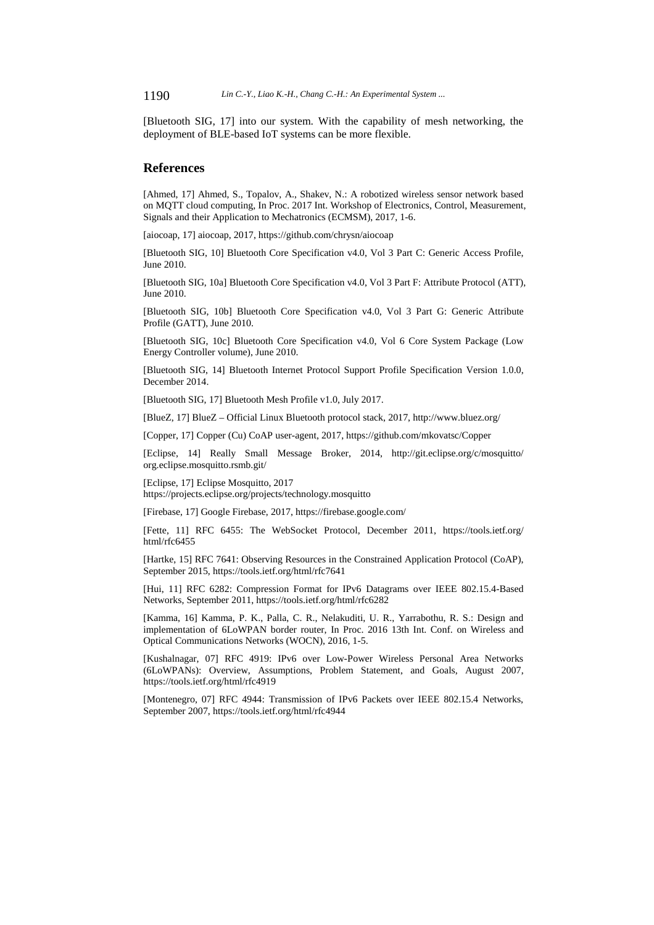1190 *Lin C.-Y., Liao K.-H., Chang C.-H.: An Experimental System ...*

[Bluetooth SIG, 17] into our system. With the capability of mesh networking, the deployment of BLE-based IoT systems can be more flexible.

### **References**

[Ahmed, 17] Ahmed, S., Topalov, A., Shakev, N.: A robotized wireless sensor network based on MQTT cloud computing, In Proc. 2017 Int. Workshop of Electronics, Control, Measurement, Signals and their Application to Mechatronics (ECMSM), 2017, 1-6.

[aiocoap, 17] aiocoap, 2017, https://github.com/chrysn/aiocoap

[Bluetooth SIG, 10] Bluetooth Core Specification v4.0, Vol 3 Part C: Generic Access Profile, June 2010.

[Bluetooth SIG, 10a] Bluetooth Core Specification v4.0, Vol 3 Part F: Attribute Protocol (ATT), June 2010.

[Bluetooth SIG, 10b] Bluetooth Core Specification v4.0, Vol 3 Part G: Generic Attribute Profile (GATT), June 2010.

[Bluetooth SIG, 10c] Bluetooth Core Specification v4.0, Vol 6 Core System Package (Low Energy Controller volume), June 2010.

[Bluetooth SIG, 14] Bluetooth Internet Protocol Support Profile Specification Version 1.0.0, December 2014.

[Bluetooth SIG, 17] Bluetooth Mesh Profile v1.0, July 2017.

[BlueZ, 17] BlueZ – Official Linux Bluetooth protocol stack, 2017, http://www.bluez.org/

[Copper, 17] Copper (Cu) CoAP user-agent, 2017, https://github.com/mkovatsc/Copper

[Eclipse, 14] Really Small Message Broker, 2014, http://git.eclipse.org/c/mosquitto/ org.eclipse.mosquitto.rsmb.git/

[Eclipse, 17] Eclipse Mosquitto, 2017 https://projects.eclipse.org/projects/technology.mosquitto

[Firebase, 17] Google Firebase, 2017, https://firebase.google.com/

[Fette, 11] RFC 6455: The WebSocket Protocol, December 2011, https://tools.ietf.org/ html/rfc6455

[Hartke, 15] RFC 7641: Observing Resources in the Constrained Application Protocol (CoAP), September 2015, https://tools.ietf.org/html/rfc7641

[Hui, 11] RFC 6282: Compression Format for IPv6 Datagrams over IEEE 802.15.4-Based Networks, September 2011, https://tools.ietf.org/html/rfc6282

[Kamma, 16] Kamma, P. K., Palla, C. R., Nelakuditi, U. R., Yarrabothu, R. S.: Design and implementation of 6LoWPAN border router, In Proc. 2016 13th Int. Conf. on Wireless and Optical Communications Networks (WOCN), 2016, 1-5.

[Kushalnagar, 07] RFC 4919: IPv6 over Low-Power Wireless Personal Area Networks (6LoWPANs): Overview, Assumptions, Problem Statement, and Goals, August 2007, https://tools.ietf.org/html/rfc4919

[Montenegro, 07] RFC 4944: Transmission of IPv6 Packets over IEEE 802.15.4 Networks, September 2007, https://tools.ietf.org/html/rfc4944